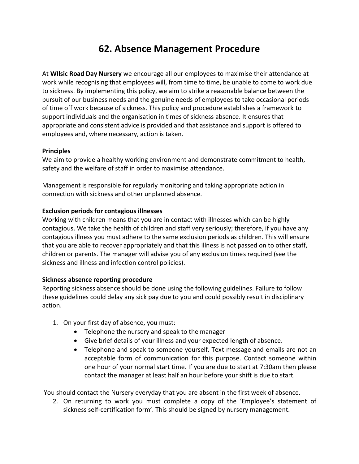# **62. Absence Management Procedure**

At **WIlsic Road Day Nursery** we encourage all our employees to maximise their attendance at work while recognising that employees will, from time to time, be unable to come to work due to sickness. By implementing this policy, we aim to strike a reasonable balance between the pursuit of our business needs and the genuine needs of employees to take occasional periods of time off work because of sickness. This policy and procedure establishes a framework to support individuals and the organisation in times of sickness absence. It ensures that appropriate and consistent advice is provided and that assistance and support is offered to employees and, where necessary, action is taken.

## **Principles**

We aim to provide a healthy working environment and demonstrate commitment to health, safety and the welfare of staff in order to maximise attendance.

Management is responsible for regularly monitoring and taking appropriate action in connection with sickness and other unplanned absence.

## **Exclusion periods for contagious illnesses**

Working with children means that you are in contact with illnesses which can be highly contagious. We take the health of children and staff very seriously; therefore, if you have any contagious illness you must adhere to the same exclusion periods as children. This will ensure that you are able to recover appropriately and that this illness is not passed on to other staff, children or parents. The manager will advise you of any exclusion times required (see the sickness and illness and infection control policies).

#### **Sickness absence reporting procedure**

Reporting sickness absence should be done using the following guidelines. Failure to follow these guidelines could delay any sick pay due to you and could possibly result in disciplinary action.

- 1. On your first day of absence, you must:
	- Telephone the nursery and speak to the manager
	- Give brief details of your illness and your expected length of absence.
	- Telephone and speak to someone yourself. Text message and emails are not an acceptable form of communication for this purpose. Contact someone within one hour of your normal start time. If you are due to start at 7:30am then please contact the manager at least half an hour before your shift is due to start.

You should contact the Nursery everyday that you are absent in the first week of absence.

2. On returning to work you must complete a copy of the 'Employee's statement of sickness self-certification form'. This should be signed by nursery management.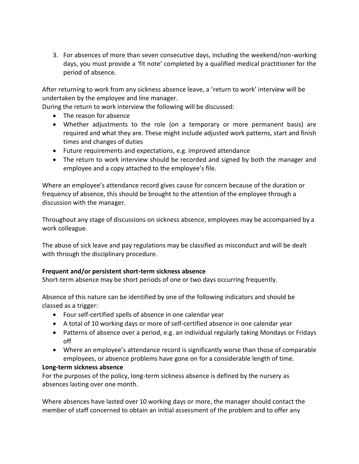3. For absences of more than seven consecutive days, including the weekend/non-working days, you must provide a 'fit note' completed by a qualified medical practitioner for the period of absence.

After returning to work from any sickness absence leave, a 'return to work' interview will be undertaken by the employee and line manager.

During the return to work interview the following will be discussed:

- The reason for absence
- Whether adjustments to the role (on a temporary or more permanent basis) are required and what they are. These might include adjusted work patterns, start and finish times and changes of duties
- Future requirements and expectations, e.g. improved attendance
- The return to work interview should be recorded and signed by both the manager and employee and a copy attached to the employee's file.

Where an employee's attendance record gives cause for concern because of the duration or frequency of absence, this should be brought to the attention of the employee through a discussion with the manager.

Throughout any stage of discussions on sickness absence, employees may be accompanied by a work colleague.

The abuse of sick leave and pay regulations may be classified as misconduct and will be dealt with through the disciplinary procedure.

#### **Frequent and/or persistent short-term sickness absence**

Short-term absence may be short periods of one or two days occurring frequently.

Absence of this nature can be identified by one of the following indicators and should be classed as a trigger:

- Four self-certified spells of absence in one calendar year
- A total of 10 working days or more of self-certified absence in one calendar year
- Patterns of absence over a period, e.g. an individual regularly taking Mondays or Fridays off
- Where an employee's attendance record is significantly worse than those of comparable employees, or absence problems have gone on for a considerable length of time.

#### **Long-term sickness absence**

For the purposes of the policy, long-term sickness absence is defined by the nursery as absences lasting over one month.

Where absences have lasted over 10 working days or more, the manager should contact the member of staff concerned to obtain an initial assessment of the problem and to offer any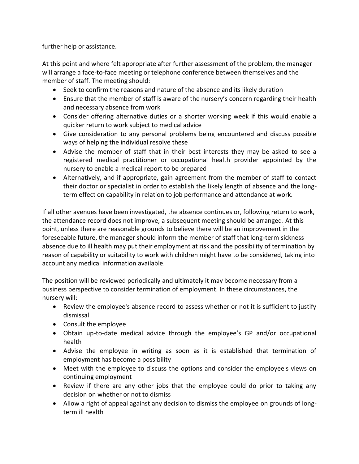further help or assistance.

At this point and where felt appropriate after further assessment of the problem, the manager will arrange a face-to-face meeting or telephone conference between themselves and the member of staff. The meeting should:

- Seek to confirm the reasons and nature of the absence and its likely duration
- Ensure that the member of staff is aware of the nursery's concern regarding their health and necessary absence from work
- Consider offering alternative duties or a shorter working week if this would enable a quicker return to work subject to medical advice
- Give consideration to any personal problems being encountered and discuss possible ways of helping the individual resolve these
- Advise the member of staff that in their best interests they may be asked to see a registered medical practitioner or occupational health provider appointed by the nursery to enable a medical report to be prepared
- Alternatively, and if appropriate, gain agreement from the member of staff to contact their doctor or specialist in order to establish the likely length of absence and the longterm effect on capability in relation to job performance and attendance at work.

If all other avenues have been investigated, the absence continues or, following return to work, the attendance record does not improve, a subsequent meeting should be arranged. At this point, unless there are reasonable grounds to believe there will be an improvement in the foreseeable future, the manager should inform the member of staff that long-term sickness absence due to ill health may put their employment at risk and the possibility of termination by reason of capability or suitability to work with children might have to be considered, taking into account any medical information available.

The position will be reviewed periodically and ultimately it may become necessary from a business perspective to consider termination of employment. In these circumstances, the nursery will:

- Review the employee's absence record to assess whether or not it is sufficient to justify dismissal
- Consult the employee
- Obtain up-to-date medical advice through the employee's GP and/or occupational health
- Advise the employee in writing as soon as it is established that termination of employment has become a possibility
- Meet with the employee to discuss the options and consider the employee's views on continuing employment
- Review if there are any other jobs that the employee could do prior to taking any decision on whether or not to dismiss
- Allow a right of appeal against any decision to dismiss the employee on grounds of longterm ill health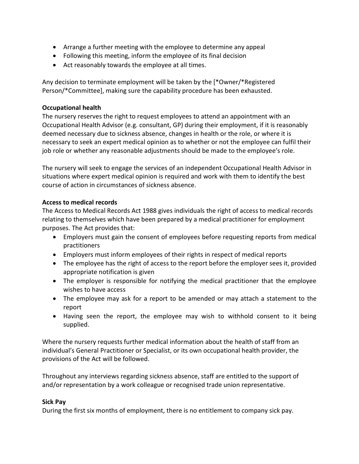- Arrange a further meeting with the employee to determine any appeal
- Following this meeting, inform the employee of its final decision
- Act reasonably towards the employee at all times.

Any decision to terminate employment will be taken by the [\*Owner/\*Registered Person/\*Committee], making sure the capability procedure has been exhausted.

## **Occupational health**

The nursery reserves the right to request employees to attend an appointment with an Occupational Health Advisor (e.g. consultant, GP) during their employment, if it is reasonably deemed necessary due to sickness absence, changes in health or the role, or where it is necessary to seek an expert medical opinion as to whether or not the employee can fulfil their job role or whether any reasonable adjustments should be made to the employee's role.

The nursery will seek to engage the services of an independent Occupational Health Advisor in situations where expert medical opinion is required and work with them to identify the best course of action in circumstances of sickness absence.

## **Access to medical records**

The Access to Medical Records Act 1988 gives individuals the right of access to medical records relating to themselves which have been prepared by a medical practitioner for employment purposes. The Act provides that:

- Employers must gain the consent of employees before requesting reports from medical practitioners
- Employers must inform employees of their rights in respect of medical reports
- The employee has the right of access to the report before the employer sees it, provided appropriate notification is given
- The employer is responsible for notifying the medical practitioner that the employee wishes to have access
- The employee may ask for a report to be amended or may attach a statement to the report
- Having seen the report, the employee may wish to withhold consent to it being supplied.

Where the nursery requests further medical information about the health of staff from an individual's General Practitioner or Specialist, or its own occupational health provider, the provisions of the Act will be followed.

Throughout any interviews regarding sickness absence, staff are entitled to the support of and/or representation by a work colleague or recognised trade union representative.

#### **Sick Pay**

During the first six months of employment, there is no entitlement to company sick pay.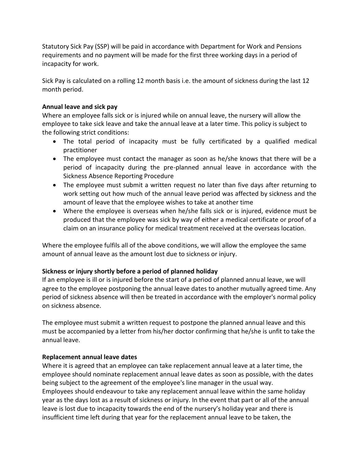Statutory Sick Pay (SSP) will be paid in accordance with Department for Work and Pensions requirements and no payment will be made for the first three working days in a period of incapacity for work.

Sick Pay is calculated on a rolling 12 month basis i.e. the amount of sickness during the last 12 month period.

## **Annual leave and sick pay**

Where an employee falls sick or is injured while on annual leave, the nursery will allow the employee to take sick leave and take the annual leave at a later time. This policy is subject to the following strict conditions:

- The total period of incapacity must be fully certificated by a qualified medical practitioner
- The employee must contact the manager as soon as he/she knows that there will be a period of incapacity during the pre-planned annual leave in accordance with the Sickness Absence Reporting Procedure
- The employee must submit a written request no later than five days after returning to work setting out how much of the annual leave period was affected by sickness and the amount of leave that the employee wishes to take at another time
- Where the employee is overseas when he/she falls sick or is injured, evidence must be produced that the employee was sick by way of either a medical certificate or proof of a claim on an insurance policy for medical treatment received at the overseas location.

Where the employee fulfils all of the above conditions, we will allow the employee the same amount of annual leave as the amount lost due to sickness or injury.

# **Sickness or injury shortly before a period of planned holiday**

If an employee is ill or is injured before the start of a period of planned annual leave, we will agree to the employee postponing the annual leave dates to another mutually agreed time. Any period of sickness absence will then be treated in accordance with the employer's normal policy on sickness absence.

The employee must submit a written request to postpone the planned annual leave and this must be accompanied by a letter from his/her doctor confirming that he/she is unfit to take the annual leave.

#### **Replacement annual leave dates**

Where it is agreed that an employee can take replacement annual leave at a later time, the employee should nominate replacement annual leave dates as soon as possible, with the dates being subject to the agreement of the employee's line manager in the usual way. Employees should endeavour to take any replacement annual leave within the same holiday year as the days lost as a result of sickness or injury. In the event that part or all of the annual leave is lost due to incapacity towards the end of the nursery's holiday year and there is insufficient time left during that year for the replacement annual leave to be taken, the